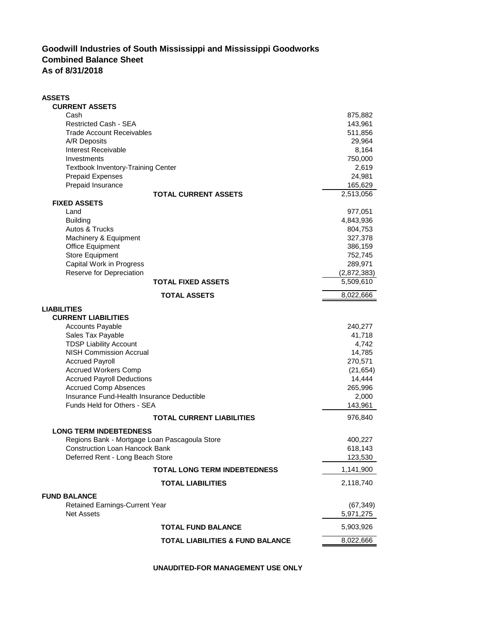## **Goodwill Industries of South Mississippi and Mississippi Goodworks Combined Balance Sheet As of 8/31/2018**

| <b>CURRENT ASSETS</b><br>Cash<br>875,882<br><b>Restricted Cash - SEA</b><br>143,961<br><b>Trade Account Receivables</b><br>511,856<br>A/R Deposits<br>29,964<br>8,164<br>Interest Receivable<br>Investments<br>750,000<br><b>Textbook Inventory-Training Center</b><br>2,619<br>24,981<br><b>Prepaid Expenses</b><br>Prepaid Insurance<br>165,629<br>2,513,056<br><b>TOTAL CURRENT ASSETS</b><br><b>FIXED ASSETS</b><br>Land<br>977,051<br>4,843,936<br><b>Building</b><br><b>Autos &amp; Trucks</b><br>804,753<br>Machinery & Equipment<br>327,378<br>Office Equipment<br>386,159<br>Store Equipment<br>752,745<br>Capital Work in Progress<br>289,971<br>Reserve for Depreciation<br>(2,872,383)<br>5,509,610<br>TOTAL FIXED ASSETS<br><b>TOTAL ASSETS</b><br>8,022,666<br>LIABILITIES<br><b>CURRENT LIABILITIES</b><br><b>Accounts Payable</b><br>240,277<br>Sales Tax Payable<br>41,718<br><b>TDSP Liability Account</b><br>4,742<br><b>NISH Commission Accrual</b><br>14,785<br><b>Accrued Payroll</b><br>270,571<br><b>Accrued Workers Comp</b><br>(21, 654)<br><b>Accrued Payroll Deductions</b><br>14,444<br><b>Accrued Comp Absences</b><br>265,996<br>Insurance Fund-Health Insurance Deductible<br>2,000<br>Funds Held for Others - SEA<br>143,961<br><b>TOTAL CURRENT LIABILITIES</b><br>976,840<br><b>LONG TERM INDEBTEDNESS</b><br>Regions Bank - Mortgage Loan Pascagoula Store<br>400,227<br>618,143<br><b>Construction Loan Hancock Bank</b><br>Deferred Rent - Long Beach Store<br>123,530<br>1,141,900<br><b>TOTAL LONG TERM INDEBTEDNESS</b><br>2,118,740<br><b>TOTAL LIABILITIES</b><br><b>FUND BALANCE</b><br><b>Retained Earnings-Current Year</b><br>(67, 349)<br><b>Net Assets</b><br>5,971,275<br>5,903,926<br><b>TOTAL FUND BALANCE</b><br><b>TOTAL LIABILITIES &amp; FUND BALANCE</b><br>8,022,666 | <b>ASSETS</b> |  |
|--------------------------------------------------------------------------------------------------------------------------------------------------------------------------------------------------------------------------------------------------------------------------------------------------------------------------------------------------------------------------------------------------------------------------------------------------------------------------------------------------------------------------------------------------------------------------------------------------------------------------------------------------------------------------------------------------------------------------------------------------------------------------------------------------------------------------------------------------------------------------------------------------------------------------------------------------------------------------------------------------------------------------------------------------------------------------------------------------------------------------------------------------------------------------------------------------------------------------------------------------------------------------------------------------------------------------------------------------------------------------------------------------------------------------------------------------------------------------------------------------------------------------------------------------------------------------------------------------------------------------------------------------------------------------------------------------------------------------------------------------------------------------------------------------------------------------------|---------------|--|
|                                                                                                                                                                                                                                                                                                                                                                                                                                                                                                                                                                                                                                                                                                                                                                                                                                                                                                                                                                                                                                                                                                                                                                                                                                                                                                                                                                                                                                                                                                                                                                                                                                                                                                                                                                                                                                |               |  |
|                                                                                                                                                                                                                                                                                                                                                                                                                                                                                                                                                                                                                                                                                                                                                                                                                                                                                                                                                                                                                                                                                                                                                                                                                                                                                                                                                                                                                                                                                                                                                                                                                                                                                                                                                                                                                                |               |  |
|                                                                                                                                                                                                                                                                                                                                                                                                                                                                                                                                                                                                                                                                                                                                                                                                                                                                                                                                                                                                                                                                                                                                                                                                                                                                                                                                                                                                                                                                                                                                                                                                                                                                                                                                                                                                                                |               |  |
|                                                                                                                                                                                                                                                                                                                                                                                                                                                                                                                                                                                                                                                                                                                                                                                                                                                                                                                                                                                                                                                                                                                                                                                                                                                                                                                                                                                                                                                                                                                                                                                                                                                                                                                                                                                                                                |               |  |
|                                                                                                                                                                                                                                                                                                                                                                                                                                                                                                                                                                                                                                                                                                                                                                                                                                                                                                                                                                                                                                                                                                                                                                                                                                                                                                                                                                                                                                                                                                                                                                                                                                                                                                                                                                                                                                |               |  |
|                                                                                                                                                                                                                                                                                                                                                                                                                                                                                                                                                                                                                                                                                                                                                                                                                                                                                                                                                                                                                                                                                                                                                                                                                                                                                                                                                                                                                                                                                                                                                                                                                                                                                                                                                                                                                                |               |  |
|                                                                                                                                                                                                                                                                                                                                                                                                                                                                                                                                                                                                                                                                                                                                                                                                                                                                                                                                                                                                                                                                                                                                                                                                                                                                                                                                                                                                                                                                                                                                                                                                                                                                                                                                                                                                                                |               |  |
|                                                                                                                                                                                                                                                                                                                                                                                                                                                                                                                                                                                                                                                                                                                                                                                                                                                                                                                                                                                                                                                                                                                                                                                                                                                                                                                                                                                                                                                                                                                                                                                                                                                                                                                                                                                                                                |               |  |
|                                                                                                                                                                                                                                                                                                                                                                                                                                                                                                                                                                                                                                                                                                                                                                                                                                                                                                                                                                                                                                                                                                                                                                                                                                                                                                                                                                                                                                                                                                                                                                                                                                                                                                                                                                                                                                |               |  |
|                                                                                                                                                                                                                                                                                                                                                                                                                                                                                                                                                                                                                                                                                                                                                                                                                                                                                                                                                                                                                                                                                                                                                                                                                                                                                                                                                                                                                                                                                                                                                                                                                                                                                                                                                                                                                                |               |  |
|                                                                                                                                                                                                                                                                                                                                                                                                                                                                                                                                                                                                                                                                                                                                                                                                                                                                                                                                                                                                                                                                                                                                                                                                                                                                                                                                                                                                                                                                                                                                                                                                                                                                                                                                                                                                                                |               |  |
|                                                                                                                                                                                                                                                                                                                                                                                                                                                                                                                                                                                                                                                                                                                                                                                                                                                                                                                                                                                                                                                                                                                                                                                                                                                                                                                                                                                                                                                                                                                                                                                                                                                                                                                                                                                                                                |               |  |
|                                                                                                                                                                                                                                                                                                                                                                                                                                                                                                                                                                                                                                                                                                                                                                                                                                                                                                                                                                                                                                                                                                                                                                                                                                                                                                                                                                                                                                                                                                                                                                                                                                                                                                                                                                                                                                |               |  |
|                                                                                                                                                                                                                                                                                                                                                                                                                                                                                                                                                                                                                                                                                                                                                                                                                                                                                                                                                                                                                                                                                                                                                                                                                                                                                                                                                                                                                                                                                                                                                                                                                                                                                                                                                                                                                                |               |  |
|                                                                                                                                                                                                                                                                                                                                                                                                                                                                                                                                                                                                                                                                                                                                                                                                                                                                                                                                                                                                                                                                                                                                                                                                                                                                                                                                                                                                                                                                                                                                                                                                                                                                                                                                                                                                                                |               |  |
|                                                                                                                                                                                                                                                                                                                                                                                                                                                                                                                                                                                                                                                                                                                                                                                                                                                                                                                                                                                                                                                                                                                                                                                                                                                                                                                                                                                                                                                                                                                                                                                                                                                                                                                                                                                                                                |               |  |
|                                                                                                                                                                                                                                                                                                                                                                                                                                                                                                                                                                                                                                                                                                                                                                                                                                                                                                                                                                                                                                                                                                                                                                                                                                                                                                                                                                                                                                                                                                                                                                                                                                                                                                                                                                                                                                |               |  |
|                                                                                                                                                                                                                                                                                                                                                                                                                                                                                                                                                                                                                                                                                                                                                                                                                                                                                                                                                                                                                                                                                                                                                                                                                                                                                                                                                                                                                                                                                                                                                                                                                                                                                                                                                                                                                                |               |  |
|                                                                                                                                                                                                                                                                                                                                                                                                                                                                                                                                                                                                                                                                                                                                                                                                                                                                                                                                                                                                                                                                                                                                                                                                                                                                                                                                                                                                                                                                                                                                                                                                                                                                                                                                                                                                                                |               |  |
|                                                                                                                                                                                                                                                                                                                                                                                                                                                                                                                                                                                                                                                                                                                                                                                                                                                                                                                                                                                                                                                                                                                                                                                                                                                                                                                                                                                                                                                                                                                                                                                                                                                                                                                                                                                                                                |               |  |
|                                                                                                                                                                                                                                                                                                                                                                                                                                                                                                                                                                                                                                                                                                                                                                                                                                                                                                                                                                                                                                                                                                                                                                                                                                                                                                                                                                                                                                                                                                                                                                                                                                                                                                                                                                                                                                |               |  |
|                                                                                                                                                                                                                                                                                                                                                                                                                                                                                                                                                                                                                                                                                                                                                                                                                                                                                                                                                                                                                                                                                                                                                                                                                                                                                                                                                                                                                                                                                                                                                                                                                                                                                                                                                                                                                                |               |  |
|                                                                                                                                                                                                                                                                                                                                                                                                                                                                                                                                                                                                                                                                                                                                                                                                                                                                                                                                                                                                                                                                                                                                                                                                                                                                                                                                                                                                                                                                                                                                                                                                                                                                                                                                                                                                                                |               |  |
|                                                                                                                                                                                                                                                                                                                                                                                                                                                                                                                                                                                                                                                                                                                                                                                                                                                                                                                                                                                                                                                                                                                                                                                                                                                                                                                                                                                                                                                                                                                                                                                                                                                                                                                                                                                                                                |               |  |
|                                                                                                                                                                                                                                                                                                                                                                                                                                                                                                                                                                                                                                                                                                                                                                                                                                                                                                                                                                                                                                                                                                                                                                                                                                                                                                                                                                                                                                                                                                                                                                                                                                                                                                                                                                                                                                |               |  |
|                                                                                                                                                                                                                                                                                                                                                                                                                                                                                                                                                                                                                                                                                                                                                                                                                                                                                                                                                                                                                                                                                                                                                                                                                                                                                                                                                                                                                                                                                                                                                                                                                                                                                                                                                                                                                                |               |  |
|                                                                                                                                                                                                                                                                                                                                                                                                                                                                                                                                                                                                                                                                                                                                                                                                                                                                                                                                                                                                                                                                                                                                                                                                                                                                                                                                                                                                                                                                                                                                                                                                                                                                                                                                                                                                                                |               |  |
|                                                                                                                                                                                                                                                                                                                                                                                                                                                                                                                                                                                                                                                                                                                                                                                                                                                                                                                                                                                                                                                                                                                                                                                                                                                                                                                                                                                                                                                                                                                                                                                                                                                                                                                                                                                                                                |               |  |
|                                                                                                                                                                                                                                                                                                                                                                                                                                                                                                                                                                                                                                                                                                                                                                                                                                                                                                                                                                                                                                                                                                                                                                                                                                                                                                                                                                                                                                                                                                                                                                                                                                                                                                                                                                                                                                |               |  |
|                                                                                                                                                                                                                                                                                                                                                                                                                                                                                                                                                                                                                                                                                                                                                                                                                                                                                                                                                                                                                                                                                                                                                                                                                                                                                                                                                                                                                                                                                                                                                                                                                                                                                                                                                                                                                                |               |  |
|                                                                                                                                                                                                                                                                                                                                                                                                                                                                                                                                                                                                                                                                                                                                                                                                                                                                                                                                                                                                                                                                                                                                                                                                                                                                                                                                                                                                                                                                                                                                                                                                                                                                                                                                                                                                                                |               |  |
|                                                                                                                                                                                                                                                                                                                                                                                                                                                                                                                                                                                                                                                                                                                                                                                                                                                                                                                                                                                                                                                                                                                                                                                                                                                                                                                                                                                                                                                                                                                                                                                                                                                                                                                                                                                                                                |               |  |
|                                                                                                                                                                                                                                                                                                                                                                                                                                                                                                                                                                                                                                                                                                                                                                                                                                                                                                                                                                                                                                                                                                                                                                                                                                                                                                                                                                                                                                                                                                                                                                                                                                                                                                                                                                                                                                |               |  |
|                                                                                                                                                                                                                                                                                                                                                                                                                                                                                                                                                                                                                                                                                                                                                                                                                                                                                                                                                                                                                                                                                                                                                                                                                                                                                                                                                                                                                                                                                                                                                                                                                                                                                                                                                                                                                                |               |  |
|                                                                                                                                                                                                                                                                                                                                                                                                                                                                                                                                                                                                                                                                                                                                                                                                                                                                                                                                                                                                                                                                                                                                                                                                                                                                                                                                                                                                                                                                                                                                                                                                                                                                                                                                                                                                                                |               |  |
|                                                                                                                                                                                                                                                                                                                                                                                                                                                                                                                                                                                                                                                                                                                                                                                                                                                                                                                                                                                                                                                                                                                                                                                                                                                                                                                                                                                                                                                                                                                                                                                                                                                                                                                                                                                                                                |               |  |
|                                                                                                                                                                                                                                                                                                                                                                                                                                                                                                                                                                                                                                                                                                                                                                                                                                                                                                                                                                                                                                                                                                                                                                                                                                                                                                                                                                                                                                                                                                                                                                                                                                                                                                                                                                                                                                |               |  |
|                                                                                                                                                                                                                                                                                                                                                                                                                                                                                                                                                                                                                                                                                                                                                                                                                                                                                                                                                                                                                                                                                                                                                                                                                                                                                                                                                                                                                                                                                                                                                                                                                                                                                                                                                                                                                                |               |  |
|                                                                                                                                                                                                                                                                                                                                                                                                                                                                                                                                                                                                                                                                                                                                                                                                                                                                                                                                                                                                                                                                                                                                                                                                                                                                                                                                                                                                                                                                                                                                                                                                                                                                                                                                                                                                                                |               |  |
|                                                                                                                                                                                                                                                                                                                                                                                                                                                                                                                                                                                                                                                                                                                                                                                                                                                                                                                                                                                                                                                                                                                                                                                                                                                                                                                                                                                                                                                                                                                                                                                                                                                                                                                                                                                                                                |               |  |
|                                                                                                                                                                                                                                                                                                                                                                                                                                                                                                                                                                                                                                                                                                                                                                                                                                                                                                                                                                                                                                                                                                                                                                                                                                                                                                                                                                                                                                                                                                                                                                                                                                                                                                                                                                                                                                |               |  |
|                                                                                                                                                                                                                                                                                                                                                                                                                                                                                                                                                                                                                                                                                                                                                                                                                                                                                                                                                                                                                                                                                                                                                                                                                                                                                                                                                                                                                                                                                                                                                                                                                                                                                                                                                                                                                                |               |  |
|                                                                                                                                                                                                                                                                                                                                                                                                                                                                                                                                                                                                                                                                                                                                                                                                                                                                                                                                                                                                                                                                                                                                                                                                                                                                                                                                                                                                                                                                                                                                                                                                                                                                                                                                                                                                                                |               |  |
|                                                                                                                                                                                                                                                                                                                                                                                                                                                                                                                                                                                                                                                                                                                                                                                                                                                                                                                                                                                                                                                                                                                                                                                                                                                                                                                                                                                                                                                                                                                                                                                                                                                                                                                                                                                                                                |               |  |
|                                                                                                                                                                                                                                                                                                                                                                                                                                                                                                                                                                                                                                                                                                                                                                                                                                                                                                                                                                                                                                                                                                                                                                                                                                                                                                                                                                                                                                                                                                                                                                                                                                                                                                                                                                                                                                |               |  |
|                                                                                                                                                                                                                                                                                                                                                                                                                                                                                                                                                                                                                                                                                                                                                                                                                                                                                                                                                                                                                                                                                                                                                                                                                                                                                                                                                                                                                                                                                                                                                                                                                                                                                                                                                                                                                                |               |  |
|                                                                                                                                                                                                                                                                                                                                                                                                                                                                                                                                                                                                                                                                                                                                                                                                                                                                                                                                                                                                                                                                                                                                                                                                                                                                                                                                                                                                                                                                                                                                                                                                                                                                                                                                                                                                                                |               |  |

**UNAUDITED-FOR MANAGEMENT USE ONLY**